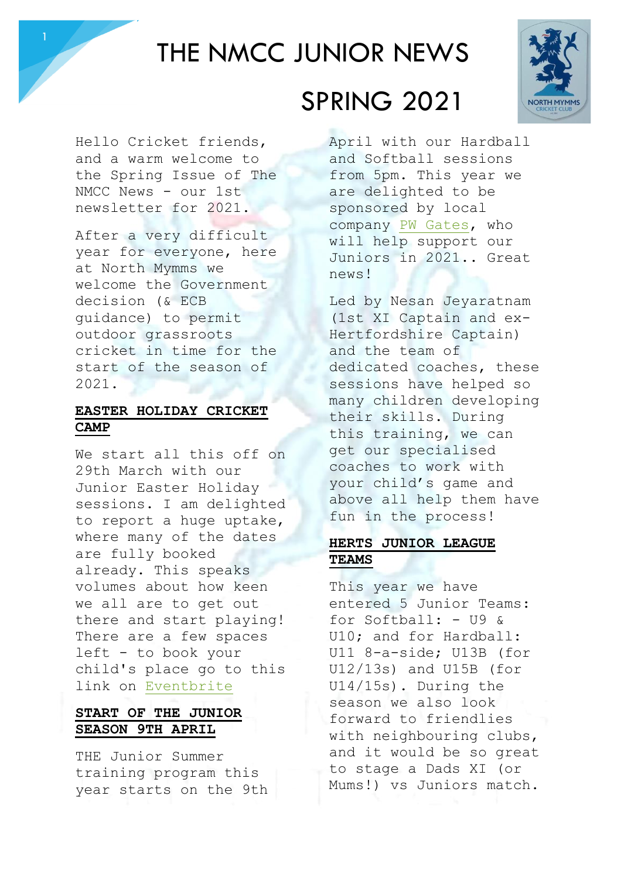

# THE NMCC JUNIOR NEWS



Hello Cricket friends, and a warm welcome to the Spring Issue of The NMCC News - our 1st newsletter for 2021.

After a very difficult year for everyone, here at North Mymms we welcome the Government decision (& ECB guidance) to permit outdoor grassroots cricket in time for the start of the season of 2021.

#### **EASTER HOLIDAY CRICKET CAMP**

We start all this off on 29th March with our Junior Easter Holiday sessions. I am delighted to report a huge uptake, where many of the dates are fully booked already. This speaks volumes about how keen we all are to get out there and start playing! There are a few spaces left - to book your child's place go to this link on [Eventbrite](https://www.eventbrite.co.uk/e/easter-holiday-junior-cricket-club-sessions-tickets-143787848325)

### **START OF THE JUNIOR SEASON 9TH APRIL**

THE Junior Summer training program this year starts on the 9th

## SPRING 2021

April with our Hardball and Softball sessions from 5pm. This year we are delighted to be sponsored by local company [PW Gates,](http://www.pwgates.co.uk/) who will help support our Juniors in 2021.. Great news!

Led by Nesan Jeyaratnam (1st XI Captain and ex-Hertfordshire Captain) and the team of dedicated coaches, these sessions have helped so many children developing their skills. During this training, we can get our specialised coaches to work with your child's game and above all help them have fun in the process!

### **HERTS JUNIOR LEAGUE TEAMS**

This year we have entered 5 Junior Teams: for Softball: - U9 & U10; and for Hardball: U11 8-a-side; U13B (for U12/13s) and U15B (for U14/15s). During the season we also look forward to friendlies with neighbouring clubs, and it would be so great to stage a Dads XI (or Mums!) vs Juniors match.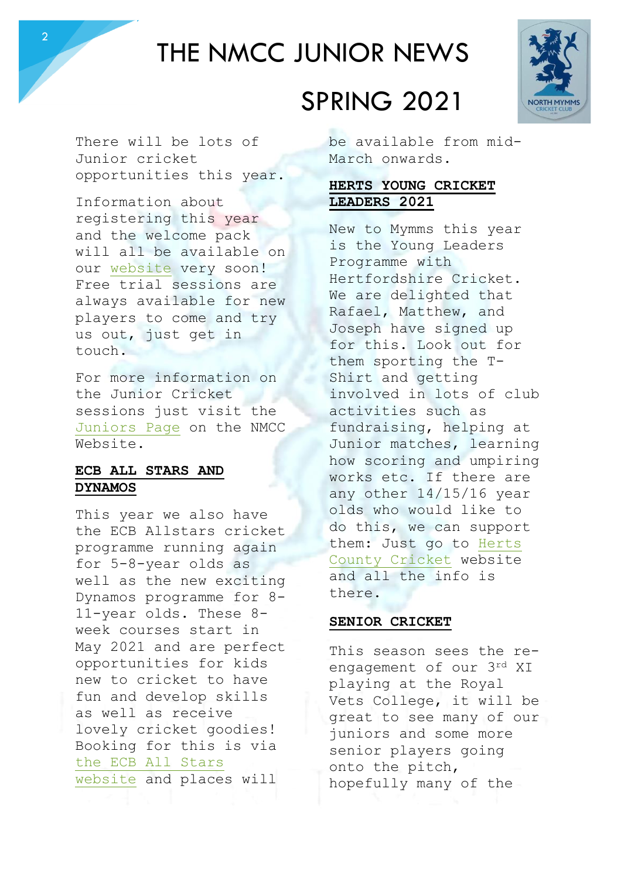# THE NMCC JUNIOR NEWS

There will be lots of Junior cricket opportunities this year.

2

Information about registering this year and the welcome pack will all be available on our [website](http://northmymmscc.co.uk/) very soon! Free trial sessions are always available for new players to come and try us out, just get in touch.

For more information on the Junior Cricket sessions just visit the [Juniors Page](http://northmymmscc.co.uk/juniors/) on the NMCC Website.

#### **ECB ALL STARS AND DYNAMOS**

This year we also have the ECB Allstars cricket programme running again for 5-8-year olds as well as the new exciting Dynamos programme for 8- 11-year olds. These 8 week courses start in May 2021 and are perfect opportunities for kids new to cricket to have fun and develop skills as well as receive lovely cricket goodies! Booking for this is via [the ECB All Stars](https://www.ecb.co.uk/play/all-stars)  [website](https://www.ecb.co.uk/play/all-stars) and places will

# SPRING 2021

be available from mid-March onwards.

### **HERTS YOUNG CRICKET LEADERS 2021**

New to Mymms this year is the Young Leaders Programme with Hertfordshire Cricket. We are delighted that Rafael, Matthew, and Joseph have signed up for this. Look out for them sporting the T-Shirt and getting involved in lots of club activities such as fundraising, helping at Junior matches, learning how scoring and umpiring works etc. If there are any other 14/15/16 year olds who would like to do this, we can support them: Just go to [Herts](http://www.hertscricket.org/news/young-leaders-in-cricket-programme-2021-31685/)  [County Cricket](http://www.hertscricket.org/news/young-leaders-in-cricket-programme-2021-31685/) website and all the info is there.

#### **SENIOR CRICKET**

This season sees the reengagement of our 3rd XI playing at the Royal Vets College, it will be great to see many of our juniors and some more senior players going onto the pitch, hopefully many of the